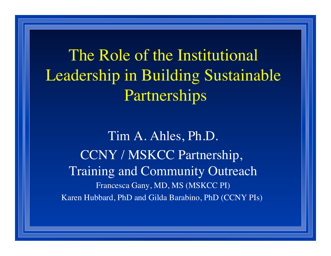The Role of the Institutional Leadership in Building Sustainable Partnerships

Tim A. Ahles, Ph.D. CCNY / MSKCC Partnership, Training and Community Outreach Francesca Gany, MD, MS (MSKCC PI) Karen Hubbard, PhD and Gilda Barabino, PhD (CCNY PIs)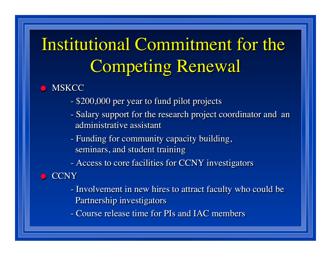# Institutional Commitment for the Competing Renewal

#### **MSKCC**

- \$200,000 per year to fund pilot projects
- Salary support for the research project coordinator and an administrative assistant
- Funding for community capacity building, seminars, and student training

- Access to core facilities for CCNY investigators

#### **CCNY**

- Involvement in new hires to attract faculty who could be Partnership investigators

- Course release time for PIs and IAC members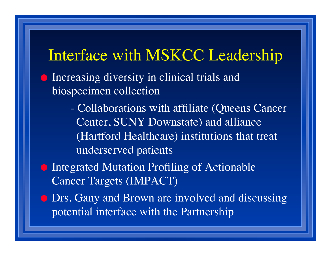## Interface with MSKCC Leadership

- **Increasing diversity in clinical trials and** biospecimen collection
	- Collaborations with affiliate (Queens Cancer Center, SUNY Downstate) and alliance (Hartford Healthcare) institutions that treat underserved patients
- **Integrated Mutation Profiling of Actionable** Cancer Targets (IMPACT)
- **Drs. Gany and Brown are involved and discussing** potential interface with the Partnership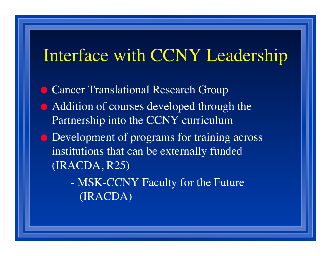# Interface with CCNY Leadership

**Cancer Translational Research Group** • Addition of courses developed through the Partnership into the CCNY curriculum **Development of programs for training across** institutions that can be externally funded (IRACDA, R25)

- MSK-CCNY Faculty for the Future (IRACDA)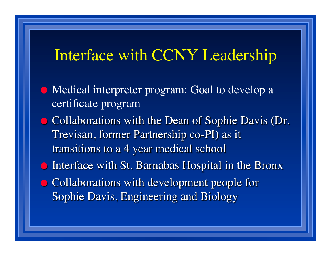### Interface with CCNY Leadership

- Medical interpreter program: Goal to develop a certificate program **• Collaborations with the Dean of Sophie Davis (Dr.** Trevisan, former Partnership co-PI) as it transitions to a 4 year medical school **Interface with St. Barnabas Hospital in the Bronx** • Collaborations with development people for
	- Sophie Davis, Engineering and Biology